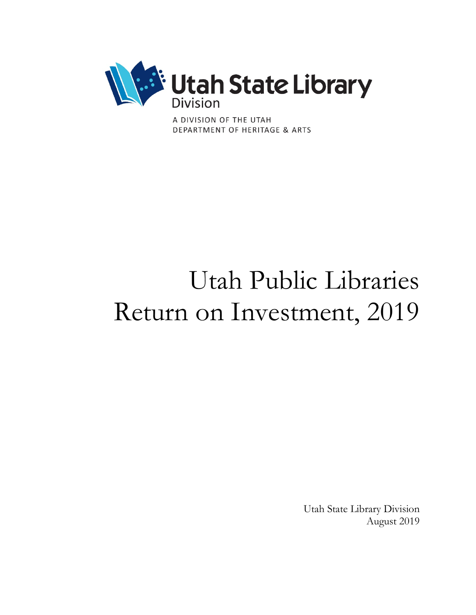

A DIVISION OF THE UTAH DEPARTMENT OF HERITAGE & ARTS

# Utah Public Libraries Return on Investment, 2019

Utah State Library Division August 2019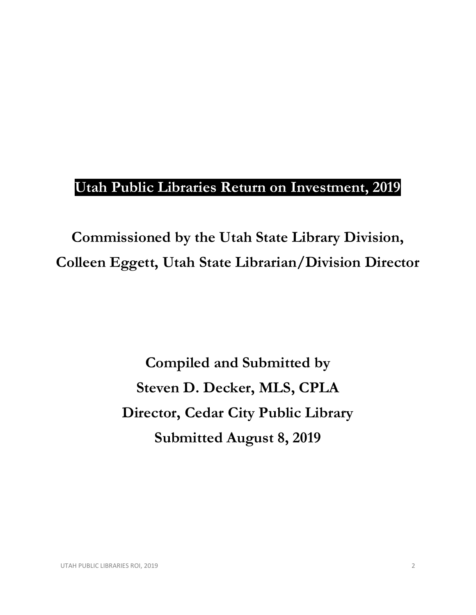## **Utah Public Libraries Return on Investment, 2019**

**Commissioned by the Utah State Library Division, Colleen Eggett, Utah State Librarian/Division Director**

> **Compiled and Submitted by Steven D. Decker, MLS, CPLA Director, Cedar City Public Library Submitted August 8, 2019**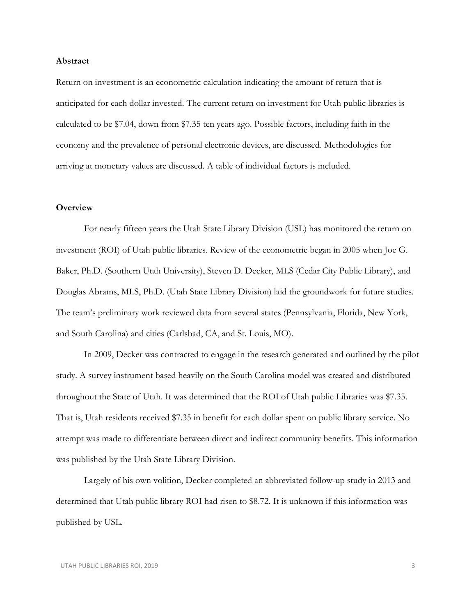#### **Abstract**

Return on investment is an econometric calculation indicating the amount of return that is anticipated for each dollar invested. The current return on investment for Utah public libraries is calculated to be \$7.04, down from \$7.35 ten years ago. Possible factors, including faith in the economy and the prevalence of personal electronic devices, are discussed. Methodologies for arriving at monetary values are discussed. A table of individual factors is included.

#### **Overview**

For nearly fifteen years the Utah State Library Division (USL) has monitored the return on investment (ROI) of Utah public libraries. Review of the econometric began in 2005 when Joe G. Baker, Ph.D. (Southern Utah University), Steven D. Decker, MLS (Cedar City Public Library), and Douglas Abrams, MLS, Ph.D. (Utah State Library Division) laid the groundwork for future studies. The team's preliminary work reviewed data from several states (Pennsylvania, Florida, New York, and South Carolina) and cities (Carlsbad, CA, and St. Louis, MO).

In 2009, Decker was contracted to engage in the research generated and outlined by the pilot study. A survey instrument based heavily on the South Carolina model was created and distributed throughout the State of Utah. It was determined that the ROI of Utah public Libraries was \$7.35. That is, Utah residents received \$7.35 in benefit for each dollar spent on public library service. No attempt was made to differentiate between direct and indirect community benefits. This information was published by the Utah State Library Division.

Largely of his own volition, Decker completed an abbreviated follow-up study in 2013 and determined that Utah public library ROI had risen to \$8.72. It is unknown if this information was published by USL.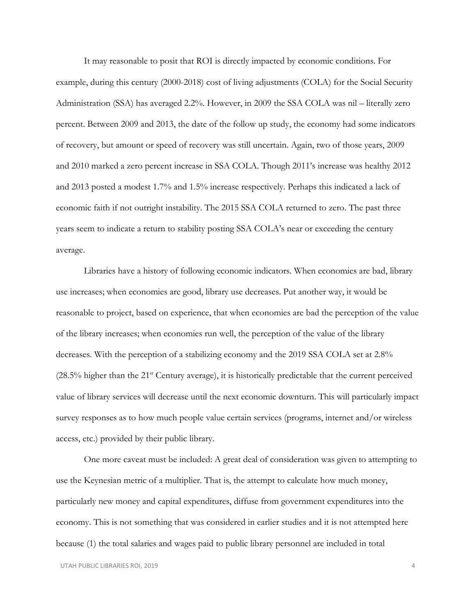It may reasonable to posit that ROI is directly impacted by economic conditions. For example, during this century (2000-2018) cost of living adjustments (COLA) for the Social Security Administration (SSA) has averaged 2.2%. However, in 2009 the SSA COLA was nil – literally zero percent. Between 2009 and 2013, the date of the follow up study, the economy had some indicators of recovery, but amount or speed of recovery was still uncertain. Again, two of those years, 2009 and 2010 marked a zero percent increase in SSA COLA. Though 2011's increase was healthy 2012 and 2013 posted a modest 1.7% and 1.5% increase respectively. Perhaps this indicated a lack of economic faith if not outright instability. The 2015 SSA COLA returned to zero. The past three years seem to indicate a return to stability posting SSA COLA's near or exceeding the century average.

Libraries have a history of following economic indicators. When economies are bad, library use increases; when economies are good, library use decreases. Put another way, it would be reasonable to project, based on experience, that when economies are bad the perception of the value of the library increases; when economies run well, the perception of the value of the library decreases. With the perception of a stabilizing economy and the 2019 SSA COLA set at 2.8% (28.5% higher than the 21<sup>st</sup> Century average), it is historically predictable that the current perceived value of library services will decrease until the next economic downturn. This will particularly impact survey responses as to how much people value certain services (programs, internet and/or wireless access, etc.) provided by their public library.

One more caveat must be included: A great deal of consideration was given to attempting to use the Keynesian metric of a multiplier. That is, the attempt to calculate how much money, particularly new money and capital expenditures, diffuse from government expenditures into the economy. This is not something that was considered in earlier studies and it is not attempted here because (1) the total salaries and wages paid to public library personnel are included in total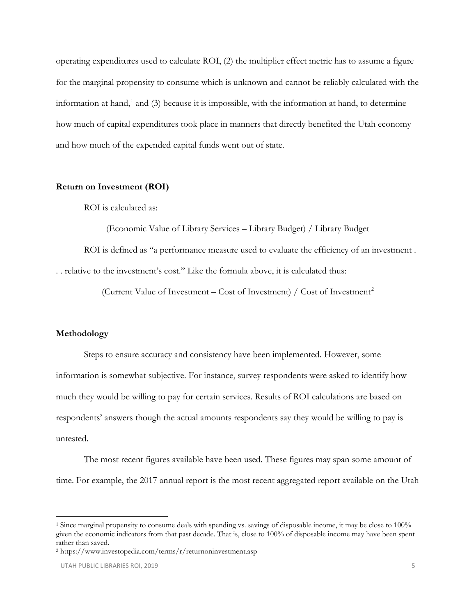operating expenditures used to calculate ROI, (2) the multiplier effect metric has to assume a figure for the marginal propensity to consume which is unknown and cannot be reliably calculated with the information at hand,<sup>[1](#page-4-0)</sup> and (3) because it is impossible, with the information at hand, to determine how much of capital expenditures took place in manners that directly benefited the Utah economy and how much of the expended capital funds went out of state.

#### **Return on Investment (ROI)**

ROI is calculated as:

(Economic Value of Library Services – Library Budget) / Library Budget

ROI is defined as "a performance measure used to evaluate the efficiency of an investment .

. . relative to the investment's cost." Like the formula above, it is calculated thus:

(Current Value of Investment – Cost of Investment) / Cost of Investment<sup>[2](#page-4-1)</sup>

#### **Methodology**

 $\overline{a}$ 

Steps to ensure accuracy and consistency have been implemented. However, some information is somewhat subjective. For instance, survey respondents were asked to identify how much they would be willing to pay for certain services. Results of ROI calculations are based on respondents' answers though the actual amounts respondents say they would be willing to pay is untested.

The most recent figures available have been used. These figures may span some amount of time. For example, the 2017 annual report is the most recent aggregated report available on the Utah

<span id="page-4-0"></span><sup>1</sup> Since marginal propensity to consume deals with spending vs. savings of disposable income, it may be close to 100% given the economic indicators from that past decade. That is, close to 100% of disposable income may have been spent rather than saved.

<span id="page-4-1"></span><sup>2</sup> https://www.investopedia.com/terms/r/returnoninvestment.asp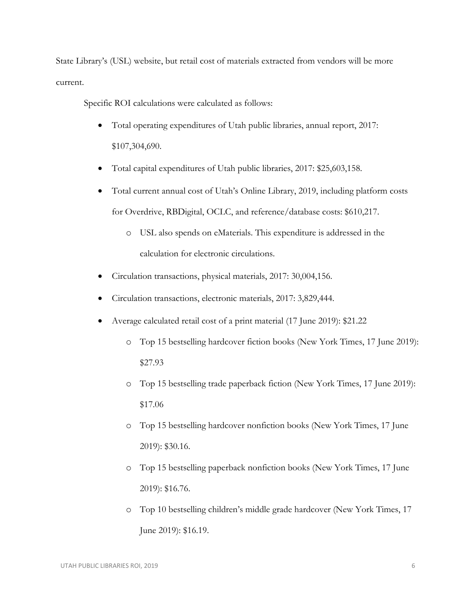State Library's (USL) website, but retail cost of materials extracted from vendors will be more current.

Specific ROI calculations were calculated as follows:

- Total operating expenditures of Utah public libraries, annual report, 2017: \$107,304,690.
- Total capital expenditures of Utah public libraries, 2017: \$25,603,158.
- Total current annual cost of Utah's Online Library, 2019, including platform costs for Overdrive, RBDigital, OCLC, and reference/database costs: \$610,217.
	- o USL also spends on eMaterials. This expenditure is addressed in the calculation for electronic circulations.
- Circulation transactions, physical materials, 2017: 30,004,156.
- Circulation transactions, electronic materials, 2017: 3,829,444.
- Average calculated retail cost of a print material (17 June 2019): \$21.22
	- o Top 15 bestselling hardcover fiction books (New York Times, 17 June 2019): \$27.93
	- o Top 15 bestselling trade paperback fiction (New York Times, 17 June 2019): \$17.06
	- o Top 15 bestselling hardcover nonfiction books (New York Times, 17 June 2019): \$30.16.
	- o Top 15 bestselling paperback nonfiction books (New York Times, 17 June 2019): \$16.76.
	- o Top 10 bestselling children's middle grade hardcover (New York Times, 17 June 2019): \$16.19.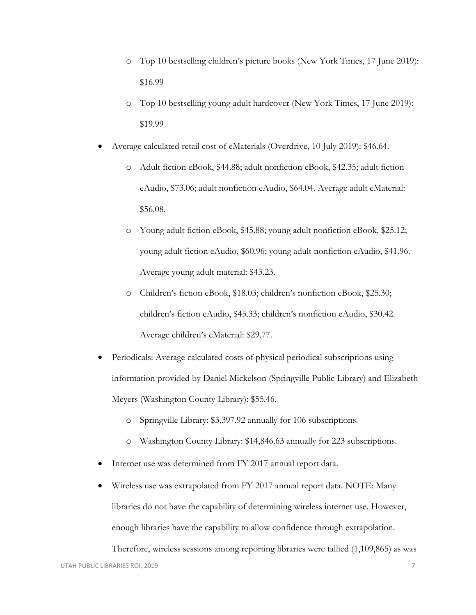- o Top 10 bestselling children's picture books (New York Times, 17 June 2019): \$16.99
- o Top 10 bestselling young adult hardcover (New York Times, 17 June 2019): \$19.99
- Average calculated retail cost of eMaterials (Overdrive, 10 July 2019): \$46.64.
	- o Adult fiction eBook, \$44.88; adult nonfiction eBook, \$42.35; adult fiction eAudio, \$73.06; adult nonfiction eAudio, \$64.04. Average adult eMaterial: \$56.08.
	- o Young adult fiction eBook, \$45.88; young adult nonfiction eBook, \$25.12; young adult fiction eAudio, \$60.96; young adult nonfiction eAudio, \$41.96. Average young adult material: \$43.23.
	- o Children's fiction eBook, \$18.03; children's nonfiction eBook, \$25.30; children's fiction eAudio, \$45.33; children's nonfiction eAudio, \$30.42. Average children's eMaterial: \$29.77.
- Periodicals: Average calculated costs of physical periodical subscriptions using information provided by Daniel Mickelson (Springville Public Library) and Elizabeth Meyers (Washington County Library): \$55.46.
	- o Springville Library: \$3,397.92 annually for 106 subscriptions.
	- o Washington County Library: \$14,846.63 annually for 223 subscriptions.
- Internet use was determined from FY 2017 annual report data.
- Wireless use was extrapolated from FY 2017 annual report data. NOTE: Many libraries do not have the capability of determining wireless internet use. However, enough libraries have the capability to allow confidence through extrapolation.

Therefore, wireless sessions among reporting libraries were tallied (1,109,865) as was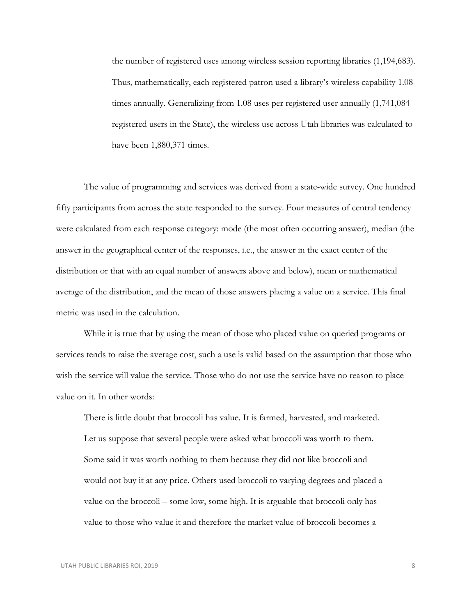the number of registered uses among wireless session reporting libraries (1,194,683). Thus, mathematically, each registered patron used a library's wireless capability 1.08 times annually. Generalizing from 1.08 uses per registered user annually (1,741,084 registered users in the State), the wireless use across Utah libraries was calculated to have been 1,880,371 times.

The value of programming and services was derived from a state-wide survey. One hundred fifty participants from across the state responded to the survey. Four measures of central tendency were calculated from each response category: mode (the most often occurring answer), median (the answer in the geographical center of the responses, i.e., the answer in the exact center of the distribution or that with an equal number of answers above and below), mean or mathematical average of the distribution, and the mean of those answers placing a value on a service. This final metric was used in the calculation.

While it is true that by using the mean of those who placed value on queried programs or services tends to raise the average cost, such a use is valid based on the assumption that those who wish the service will value the service. Those who do not use the service have no reason to place value on it. In other words:

There is little doubt that broccoli has value. It is farmed, harvested, and marketed. Let us suppose that several people were asked what broccoli was worth to them. Some said it was worth nothing to them because they did not like broccoli and would not buy it at any price. Others used broccoli to varying degrees and placed a value on the broccoli – some low, some high. It is arguable that broccoli only has value to those who value it and therefore the market value of broccoli becomes a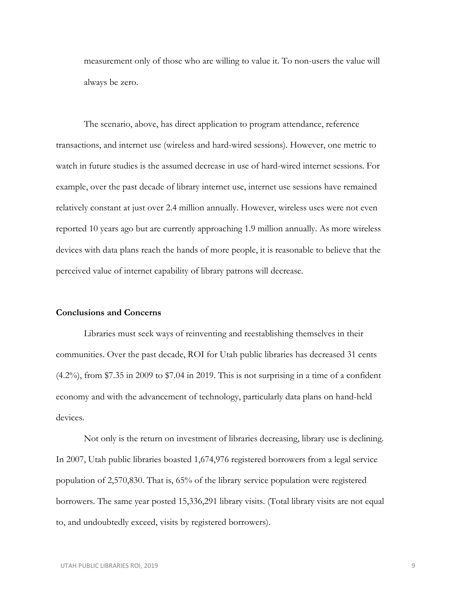measurement only of those who are willing to value it. To non-users the value will always be zero.

The scenario, above, has direct application to program attendance, reference transactions, and internet use (wireless and hard-wired sessions). However, one metric to watch in future studies is the assumed decrease in use of hard-wired internet sessions. For example, over the past decade of library internet use, internet use sessions have remained relatively constant at just over 2.4 million annually. However, wireless uses were not even reported 10 years ago but are currently approaching 1.9 million annually. As more wireless devices with data plans reach the hands of more people, it is reasonable to believe that the perceived value of internet capability of library patrons will decrease.

#### **Conclusions and Concerns**

Libraries must seek ways of reinventing and reestablishing themselves in their communities. Over the past decade, ROI for Utah public libraries has decreased 31 cents (4.2%), from \$7.35 in 2009 to \$7.04 in 2019. This is not surprising in a time of a confident economy and with the advancement of technology, particularly data plans on hand-held devices.

Not only is the return on investment of libraries decreasing, library use is declining. In 2007, Utah public libraries boasted 1,674,976 registered borrowers from a legal service population of 2,570,830. That is, 65% of the library service population were registered borrowers. The same year posted 15,336,291 library visits. (Total library visits are not equal to, and undoubtedly exceed, visits by registered borrowers).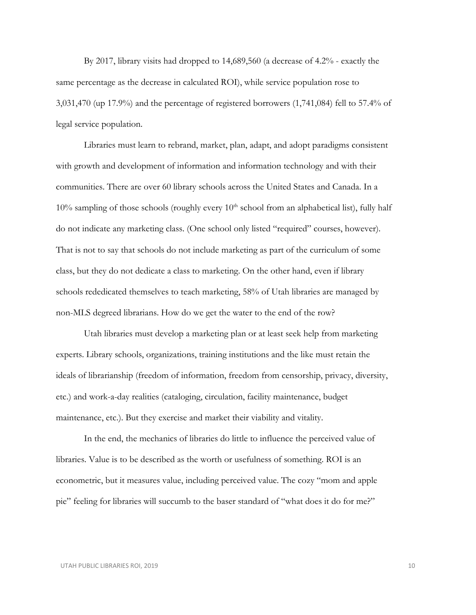By 2017, library visits had dropped to 14,689,560 (a decrease of 4.2% - exactly the same percentage as the decrease in calculated ROI), while service population rose to 3,031,470 (up 17.9%) and the percentage of registered borrowers (1,741,084) fell to 57.4% of legal service population.

Libraries must learn to rebrand, market, plan, adapt, and adopt paradigms consistent with growth and development of information and information technology and with their communities. There are over 60 library schools across the United States and Canada. In a 10% sampling of those schools (roughly every  $10<sup>th</sup>$  school from an alphabetical list), fully half do not indicate any marketing class. (One school only listed "required" courses, however). That is not to say that schools do not include marketing as part of the curriculum of some class, but they do not dedicate a class to marketing. On the other hand, even if library schools rededicated themselves to teach marketing, 58% of Utah libraries are managed by non-MLS degreed librarians. How do we get the water to the end of the row?

Utah libraries must develop a marketing plan or at least seek help from marketing experts. Library schools, organizations, training institutions and the like must retain the ideals of librarianship (freedom of information, freedom from censorship, privacy, diversity, etc.) and work-a-day realities (cataloging, circulation, facility maintenance, budget maintenance, etc.). But they exercise and market their viability and vitality.

In the end, the mechanics of libraries do little to influence the perceived value of libraries. Value is to be described as the worth or usefulness of something. ROI is an econometric, but it measures value, including perceived value. The cozy "mom and apple pie" feeling for libraries will succumb to the baser standard of "what does it do for me?"